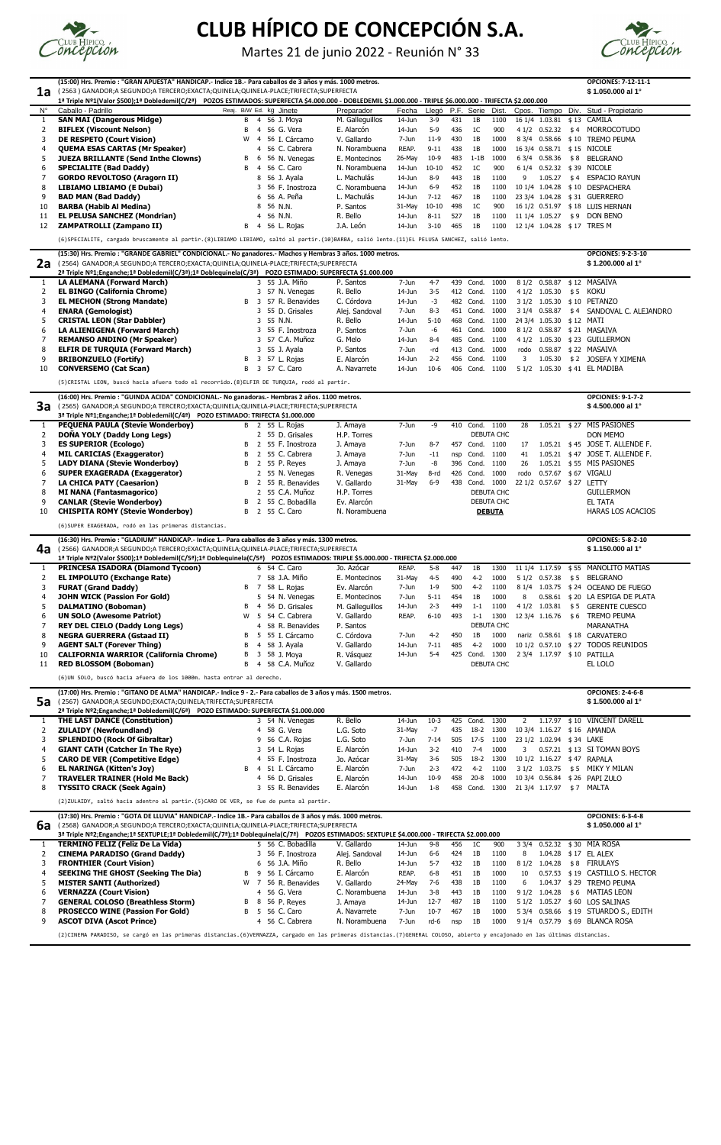|              | (15:00) Hrs. Premio : "GRAN APUESTA" HANDICAP.- Indice 1B.- Para caballos de 3 años y más. 1000 metros.                                                                                          |                         |                               |                                        |                               |                        |                     |            |                          |                          |                 |                                 |             | <b>OPCIONES: 7-12-11-1</b>                                             |
|--------------|--------------------------------------------------------------------------------------------------------------------------------------------------------------------------------------------------|-------------------------|-------------------------------|----------------------------------------|-------------------------------|------------------------|---------------------|------------|--------------------------|--------------------------|-----------------|---------------------------------|-------------|------------------------------------------------------------------------|
| 1a           | ( 2563 ) GANADOR;A SEGUNDO;A TERCERO;EXACTA;QUINELA;QUINELA-PLACE;TRIFECTA;SUPERFECTA                                                                                                            |                         |                               |                                        |                               |                        |                     |            |                          |                          |                 |                                 |             | \$1.050.000 al 1°                                                      |
|              | 1ª Triple Nº1(Valor \$500);1ª Dobledemil(C/2ª) POZOS ESTIMADOS: SUPERFECTA \$4.000.000 - DOBLEDEMIL \$1.000.000 - TRIPLE \$6.000.000 - TRIFECTA \$2.000.000                                      |                         |                               |                                        |                               |                        |                     |            |                          |                          |                 |                                 |             |                                                                        |
| $N^{\circ}$  | Caballo - Padrillo                                                                                                                                                                               | Reaj. B/W Ed. kg Jinete |                               |                                        | Preparador                    | Fecha                  | Llegó               |            | P.F. Serie               | Dist.                    |                 | Cpos. Tiempo                    | Div.        | Stud - Propietario                                                     |
| 2            | <b>SAN MAI (Dangerous Midge)</b><br><b>BIFLEX (Viscount Nelson)</b>                                                                                                                              | В                       | B 4<br>-4                     | 56 J. Moya<br>56 G. Vera               | M. Galleguillos<br>E. Alarcón | 14-Jun<br>$14$ -Jun    | $3-9$<br>$5-9$      | 431<br>436 | 1B<br>1 <sup>C</sup>     | 1100<br>900              |                 | 16 1/4 1.03.81<br>4 1/2 0.52.32 | \$13<br>\$4 | <b>CAMILA</b><br>MORROCOTUDO                                           |
| 3            | <b>DE RESPETO (Court Vision)</b>                                                                                                                                                                 | W                       | -4                            | 56 I. Cárcamo                          | V. Gallardo                   | 7-Jun                  | $11-9$              | 430        | 1B                       | 1000                     |                 | 8 3/4 0.58.66                   | \$10        | <b>TREMO PEUMA</b>                                                     |
| 4            | <b>QUEMA ESAS CARTAS (Mr Speaker)</b>                                                                                                                                                            |                         | 4                             | 56 C. Cabrera                          | N. Norambuena                 | REAP.                  | $9 - 11$            | 438        | 1B                       | 1000                     |                 | 16 3/4 0.58.71                  |             | \$15 NICOLE                                                            |
| 5            | <b>JUEZA BRILLANTE (Send Inthe Clowns)</b>                                                                                                                                                       | В                       | 6                             | 56 N. Venegas                          | E. Montecinos                 | 26-May                 | $10-9$              | 483        | $1-1B$                   | 1000                     |                 | 6 3/4 0.58.36                   | \$8         | <b>BELGRANO</b>                                                        |
| 6            | <b>SPECIALITE (Bad Daddy)</b>                                                                                                                                                                    | B                       | -4                            | 56 C. Caro                             | N. Norambuena<br>L. Machulás  | $14$ -Jun<br>$14$ -Jun | $10 - 10$<br>8-9    | 452<br>443 | 1 <sup>C</sup><br>1B     | 900<br>1100              | 9               | 6 1/4 0.52.32<br>1.05.27        | \$39        | <b>NICOLE</b><br><b>ESPACIO RAYUN</b>                                  |
| 8            | <b>GORDO REVOLTOSO (Aragorn II)</b><br>LIBIAMO LIBIAMO (E Dubai)                                                                                                                                 |                         | 8<br>3                        | 56 J. Ayala<br>56 F. Inostroza         | C. Norambuena                 | $14$ -Jun              | $6 - 9$             | 452        | 1B                       | 1100                     |                 | 10 1/4 1.04.28                  | \$4         | \$10 DESPACHERA                                                        |
| 9            | <b>BAD MAN (Bad Daddy)</b>                                                                                                                                                                       |                         | 6                             | 56 A. Peña                             | L. Machulás                   | $14$ -Jun              | $7 - 12$            | 467        | 1B                       | 1100                     |                 | 23 3/4 1.04.28                  |             | \$31 GUERRERO                                                          |
| 10           | <b>BARBA (Habib Al Medina)</b>                                                                                                                                                                   |                         | 8                             | 56 N.N.                                | P. Santos                     | 31-May                 | $10 - 10$           | 498        | 1 <sup>C</sup>           | 900                      |                 | 16 1/2 0.51.97                  |             | \$18 LUIS HERNAN                                                       |
| -11          | <b>EL PELUSA SANCHEZ (Mondrian)</b>                                                                                                                                                              |                         | 4                             | 56 N.N.                                | R. Bello                      | $14$ -Jun              | $8 - 11$            | 527        | 1B                       | 1100                     |                 | 11 1/4 1.05.27                  |             | \$9 DON BENO                                                           |
| 12           | ZAMPATROLLI (Zampano II)                                                                                                                                                                         | B                       | -4                            | 56 L. Rojas                            | J.A. León                     | $14$ -Jun              | $3 - 10$            | 465        | 1B                       | 1100                     |                 | 12 1/4 1.04.28                  |             | \$17 TRES M                                                            |
|              | (6) SPECIALITE, cargado bruscamente al partir. (8) LIBIAMO LIBIAMO, saltó al partir. (10) BARBA, salió lento. (11) EL PELUSA SANCHEZ, salió lento.                                               |                         |                               |                                        |                               |                        |                     |            |                          |                          |                 |                                 |             |                                                                        |
|              | (15:30) Hrs. Premio : "GRANDE GABRIEL" CONDICIONAL.- No ganadores.- Machos y Hembras 3 años. 1000 metros.                                                                                        |                         |                               |                                        |                               |                        |                     |            |                          |                          |                 |                                 |             | <b>OPCIONES: 9-2-3-10</b>                                              |
| 2a           | (2564) GANADOR;A SEGUNDO;A TERCERO;EXACTA;QUINELA;QUINELA-PLACE;TRIFECTA;SUPERFECTA<br>2ª Triple Nº1;Enganche;1ª Dobledemil(C/3ª);1ª Doblequinela(C/3ª) POZO ESTIMADO: SUPERFECTA \$1.000.000    |                         |                               |                                        |                               |                        |                     |            |                          |                          |                 |                                 |             | \$1.200.000 al 1°                                                      |
| $\mathbf{1}$ | <b>LA ALEMANA (Forward March)</b>                                                                                                                                                                |                         |                               | 3 55 J.A. Miño                         | P. Santos                     | 7-Jun                  | $4 - 7$             |            | 439 Cond.                | 1000                     |                 | 8 1/2 0.58.87                   |             | \$12 MASAIVA                                                           |
| 2            | <b>EL BINGO (California Chrome)</b>                                                                                                                                                              |                         | 3                             | 57 N. Venegas                          | R. Bello                      | $14$ -Jun              | $3 - 5$             | 412        | Cond.                    | 1100                     | 41/2            | 1.05.30                         | \$5         | KOKU                                                                   |
| 3            | <b>EL MECHON (Strong Mandate)</b>                                                                                                                                                                | B                       | 3                             | 57 R. Benavides                        | C. Córdova                    | $14$ -Jun              | $-3$                | 482        | Cond.                    | 1100                     | 31/2            | 1.05.30                         | \$10        | <b>PETANZO</b>                                                         |
| 4            | <b>ENARA (Gemologist)</b>                                                                                                                                                                        |                         | 3                             | 55 D. Grisales                         | Alej. Sandoval                | 7-Jun                  | $8 - 3$             | 451        | Cond.                    | 1000                     | 31/4            | 0.58.87                         | \$4         | SANDOVAL C. ALEJANDRO                                                  |
| 5<br>6       | <b>CRISTAL LEON (Star Dabbler)</b><br>LA ALIENIGENA (Forward March)                                                                                                                              |                         | 3<br>3                        | 55 N.N.<br>55 F. Inostroza             | R. Bello<br>P. Santos         | $14$ -Jun<br>7-Jun     | $5 - 10$<br>-6      | 468<br>461 | Cond.<br>Cond.           | 1100<br>1000             |                 | 24 3/4 1.05.30<br>8 1/2 0.58.87 |             | \$12 MATI<br>\$21 MASAIVA                                              |
| 7            | <b>REMANSO ANDINO (Mr Speaker)</b>                                                                                                                                                               |                         | 3                             | 57 C.A. Muñoz                          | G. Melo                       | $14$ -Jun              | $8 - 4$             | 485        | Cond.                    | 1100                     |                 | 4 1/2 1.05.30                   |             | \$23 GUILLERMON                                                        |
| 8            | <b>ELFIR DE TURQUIA (Forward March)</b>                                                                                                                                                          |                         |                               | 55 J. Ayala                            | P. Santos                     | 7-Jun                  | -rd                 | 413        | Cond.                    | 1000                     | rodo            | 0.58.87                         |             | \$22 MASAIVA                                                           |
| 9            | <b>BRIBONZUELO (Fortify)</b>                                                                                                                                                                     | В                       | 3                             | 57 L. Rojas                            | E. Alarcón                    | $14$ -Jun              | $2 - 2$             | 456        | Cond.                    | 1100                     | 3               | 1.05.30                         |             | \$2 JOSEFA Y XIMENA                                                    |
| 10           | <b>CONVERSEMO (Cat Scan)</b>                                                                                                                                                                     | B                       | 3                             | 57 C. Caro                             | A. Navarrete                  | 14-Jun                 | $10-6$              | 406        | Cond.                    | 1100                     | 51/2            | 1.05.30                         |             | \$41 EL MADIBA                                                         |
|              | (5)CRISTAL LEON, buscó hacia afuera todo el recorrido.(8)ELFIR DE TURQUIA, rodó al partir.                                                                                                       |                         |                               |                                        |                               |                        |                     |            |                          |                          |                 |                                 |             |                                                                        |
| 3a           | (16:00) Hrs. Premio : "GUINDA ACIDA" CONDICIONAL.- No ganadoras.- Hembras 2 años. 1100 metros.                                                                                                   |                         |                               |                                        |                               |                        |                     |            |                          |                          |                 |                                 |             | <b>OPCIONES: 9-1-7-2</b>                                               |
|              | ( 2565) GANADOR;A SEGUNDO;A TERCERO;EXACTA;QUINELA;QUINELA-PLACE;TRIFECTA;SUPERFECTA<br>3ª Triple Nº1;Enganche;1ª Dobledemil(C/4ª) POZO ESTIMADO: TRIFECTA \$1.000.000                           |                         |                               |                                        |                               |                        |                     |            |                          |                          |                 |                                 |             | \$4.500.000 al 1°                                                      |
| 1            | PEQUEÑA PAULA (Stevie Wonderboy)                                                                                                                                                                 |                         |                               | B 2 55 L. Rojas                        | J. Amaya                      | 7-Jun                  | -9                  |            | 410 Cond. 1100           |                          | 28              |                                 |             | 1.05.21 \$27 MIS PASIONES                                              |
| 2            | DOÑA YOLY (Daddy Long Legs)                                                                                                                                                                      |                         |                               | 2 55 D. Grisales                       | H.P. Torres                   |                        |                     |            |                          | DEBUTA CHC               |                 |                                 |             | <b>DON MEMO</b>                                                        |
| 3<br>4       | <b>ES SUPERIOR (Ecologo)</b><br><b>MIL CARICIAS (Exaggerator)</b>                                                                                                                                | B<br>B                  | $2^{\circ}$<br>$\overline{2}$ | 55 F. Inostroza<br>55 C. Cabrera       | J. Amaya<br>J. Amaya          | 7-Jun<br>7-Jun         | $8 - 7$<br>$-11$    | 457<br>nsp | Cond. 1100<br>Cond. 1100 |                          | 17<br>41        | 1.05.21<br>$1.05.21$ \$47       | \$45        | JOSE T. ALLENDE F.<br>JOSE T. ALLENDE F.                               |
| 5            | <b>LADY DIANA (Stevie Wonderboy)</b>                                                                                                                                                             | B                       |                               | 2 55 P. Reyes                          | J. Amaya                      | 7-Jun                  | -8                  |            | 396 Cond.                | 1100                     | 26              |                                 |             | 1.05.21 \$55 MIS PASIONES                                              |
| 6            | <b>SUPER EXAGERADA (Exaggerator)</b>                                                                                                                                                             |                         |                               | 2 55 N. Venegas                        | R. Venegas                    | 31-May                 | 8-rd                | 426        | Cond.                    | 1000                     | rodo            | $0.57.67$ \$67                  |             | <b>VIGALU</b>                                                          |
| 7            | <b>LA CHICA PATY (Caesarion)</b>                                                                                                                                                                 |                         | B 2                           | 55 R. Benavides                        | V. Gallardo                   | 31-May                 | $6-9$               |            | 438 Cond.                | 1000                     |                 | 22 1/2 0.57.67 \$ 27 LETTY      |             |                                                                        |
| 8<br>9       | <b>MI NANA (Fantasmagorico)</b><br><b>CANLAR (Stevie Wonderboy)</b>                                                                                                                              |                         |                               | 2 55 C.A. Muñoz<br>B 2 55 C. Bobadilla | H.P. Torres<br>Ev. Alarcón    |                        |                     |            |                          | DEBUTA CHC<br>DEBUTA CHC |                 |                                 |             | <b>GUILLERMON</b><br><b>EL TATA</b>                                    |
| 10           | <b>CHISPITA ROMY (Stevie Wonderboy)</b>                                                                                                                                                          | B                       | $\overline{2}$                | 55 C. Caro                             | N. Norambuena                 |                        |                     |            |                          | <b>DEBUTA</b>            |                 |                                 |             | <b>HARAS LOS ACACIOS</b>                                               |
|              | (6) SUPER EXAGERADA, rodó en las primeras distancias.                                                                                                                                            |                         |                               |                                        |                               |                        |                     |            |                          |                          |                 |                                 |             |                                                                        |
|              | (16:30) Hrs. Premio : "GLADIUM" HANDICAP.- Indice 1.- Para caballos de 3 años y más. 1300 metros.                                                                                                |                         |                               |                                        |                               |                        |                     |            |                          |                          |                 |                                 |             | <b>OPCIONES: 5-8-2-10</b>                                              |
|              |                                                                                                                                                                                                  |                         |                               |                                        |                               |                        |                     |            |                          |                          |                 |                                 |             | \$1.150.000 al 1°                                                      |
| 4a           | (2566) GANADOR;A SEGUNDO;A TERCERO;EXACTA;QUINELA;QUINELA-PLACE;TRIFECTA;SUPERFECTA                                                                                                              |                         |                               |                                        |                               |                        |                     |            |                          |                          |                 |                                 |             |                                                                        |
|              | 1ª Triple Nº2(Valor \$500);1ª Dobledemil(C/5ª);1ª Doblequinela(C/5ª) POZOS ESTIMADOS: TRIPLE \$5.000.000 - TRIFECTA \$2.000.000                                                                  |                         |                               |                                        |                               |                        |                     |            |                          |                          |                 |                                 |             |                                                                        |
|              | <b>PRINCESA ISADORA (Diamond Tycoon)</b>                                                                                                                                                         |                         |                               | 6 54 C. Caro                           | Jo. Azócar                    | REAP.                  | $5 - 8$             | 447        | 1B                       | 1300                     |                 | 11 1/4 1.17.59                  |             | \$55 MANOLITO MATIAS                                                   |
| 2<br>3       | <b>EL IMPOLUTO (Exchange Rate)</b><br><b>FURAT (Grand Daddy)</b>                                                                                                                                 |                         | B 7                           | 7 58 J.A. Miño<br>58 L. Rojas          | E. Montecinos<br>Ev. Alarcón  | 31-May<br>7-Jun        | $4 - 5$<br>$1 - 9$  | 490<br>500 | $4-2$<br>$4-2$           | 1000<br>1100             |                 | 5 1/2 0.57.38<br>8 1/4 1.03.75  | \$5         | <b>BELGRANO</b><br>\$24 OCEANO DE FUEGO                                |
| 4            | <b>JOHN WICK (Passion For Gold)</b>                                                                                                                                                              |                         |                               | 5 54 N. Venegas                        | E. Montecinos                 | 7-Jun                  | $5 - 11$            | 454        | 1B                       | 1000                     | 8               | 0.58.61                         |             | \$20 LA ESPIGA DE PLATA                                                |
| 5            | <b>DALMATINO (Boboman)</b>                                                                                                                                                                       | B                       | 4                             | 56 D. Grisales                         | M. Galleguillos               | 14-Jun                 | $2 - 3$             | 449        | $1 - 1$                  | 1100                     |                 | 4 1/2 1.03.81                   |             | \$5 GERENTE CUESCO                                                     |
| 6            | <b>UN SOLO (Awesome Patriot)</b>                                                                                                                                                                 | W                       | 4                             | 5 54 C. Cabrera                        | V. Gallardo                   | REAP.                  | $6 - 10$            | 493        | $1 - 1$                  | 1300                     |                 | 12 3/4 1.16.76                  | \$6         | <b>TREMO PEUMA</b>                                                     |
| 8            | <b>REY DEL CIELO (Daddy Long Legs)</b><br><b>NEGRA GUERRERA (Gstaad II)</b>                                                                                                                      | B                       | 5.                            | 58 R. Benavides<br>55 I. Cárcamo       | P. Santos<br>C. Córdova       | 7-Jun                  | $4 - 2$             | 450        | 1B                       | DEBUTA CHC<br>1000       |                 | nariz 0.58.61                   |             | <b>MARANATHA</b><br>\$18 CARVATERO                                     |
| 9            | <b>AGENT SALT (Forever Thing)</b>                                                                                                                                                                | B                       | 4                             | 58 J. Ayala                            | V. Gallardo                   | $14$ -Jun              | $7 - 11$            | 485        | $4 - 2$                  | 1000                     |                 |                                 |             | 10 1/2 0.57.10 \$ 27 TODOS REUNIDOS                                    |
| 10           | <b>CALIFORNIA WARRIOR (California Chrome)</b>                                                                                                                                                    | B                       | 3                             | 58 J. Moya                             | R. Vásquez                    | $14$ -Jun              | $5-4$               | 425        | Cond. 1300               |                          |                 |                                 |             | 2 3/4 1.17.97 \$10 PATILLA                                             |
| 11           | <b>RED BLOSSOM (Boboman)</b>                                                                                                                                                                     | B                       | $\overline{4}$                | 58 C.A. Muñoz                          | V. Gallardo                   |                        |                     |            |                          | DEBUTA CHC               |                 |                                 |             | EL LOLO                                                                |
|              | (6) UN SOLO, buscó hacia afuera de los 1000m. hasta entrar al derecho.                                                                                                                           |                         |                               |                                        |                               |                        |                     |            |                          |                          |                 |                                 |             |                                                                        |
|              | (17:00) Hrs. Premio : "GITANO DE ALMA" HANDICAP.- Indice 9 - 2.- Para caballos de 3 años y más. 1500 metros.                                                                                     |                         |                               |                                        |                               |                        |                     |            |                          |                          |                 |                                 |             | <b>OPCIONES: 2-4-6-8</b>                                               |
| 5a           | (2567) GANADOR;A SEGUNDO;EXACTA;QUINELA;TRIFECTA;SUPERFECTA<br>2ª Triple Nº2;Enganche;1ª Dobledemil(C/6ª) POZO ESTIMADO: SUPERFECTA \$1.000.000                                                  |                         |                               |                                        |                               |                        |                     |            |                          |                          |                 |                                 |             | \$1.500.000 al 1°                                                      |
| 1            | <b>THE LAST DANCE (Constitution)</b>                                                                                                                                                             |                         |                               | 3 54 N. Venegas                        | R. Bello                      | $14$ -Jun              | $10-3$              |            | 425 Cond.                | 1300                     | 2               |                                 |             | 1.17.97 \$10 VINCENT DARELL                                            |
| 2            | <b>ZULAIDY (Newfoundland)</b>                                                                                                                                                                    |                         | 4                             | 58 G. Vera                             | L.G. Soto                     | 31-May                 | $-7$                | 435        | $18 - 2$                 | 1300                     |                 |                                 |             | 10 3/4 1.16.27 \$16 AMANDA                                             |
| 3<br>4       | <b>SPLENDIDO (Rock Of Gibraltar)</b><br><b>GIANT CATH (Catcher In The Rye)</b>                                                                                                                   |                         | 9<br>3                        | 56 C.A. Rojas<br>54 L. Rojas           | L.G. Soto<br>E. Alarcón       | 7-Jun<br>$14$ -Jun     | $7 - 14$<br>$3 - 2$ | 505<br>410 | $17-5$<br>$7 - 4$        | 1100<br>1000             | 3               | 23 1/2 1.02.94 \$34 LAKE        |             | 0.57.21 \$13 SI TOMAN BOYS                                             |
| 5            | <b>CARO DE VER (Competitive Edge)</b>                                                                                                                                                            |                         | 4                             | 55 F. Inostroza                        | Jo. Azócar                    | 31-May                 | $3-6$               | 505        | $18-2$                   | 1300                     |                 |                                 |             | 10 1/2 1.16.27 \$47 RAPALA                                             |
| 6            | <b>EL NARINGA (Kitten's Joy)</b>                                                                                                                                                                 | B                       | -4                            | 51 I. Cárcamo                          | E. Alarcón                    | 7-Jun                  | $2 - 3$             | 472        | $4-2$                    | 1100                     |                 | 3 1/2 1.03.75                   |             | \$5 MIKY Y MILAN                                                       |
| 7            | <b>TRAVELER TRAINER (Hold Me Back)</b>                                                                                                                                                           |                         |                               | 4 56 D. Grisales                       | E. Alarcón                    | $14$ -Jun              | $10-9$              | 458        | $20 - 8$                 | 1000                     |                 |                                 |             | 10 3/4 0.56.84 \$26 PAPI ZULO                                          |
| 8            | <b>TYSSITO CRACK (Seek Again)</b>                                                                                                                                                                |                         |                               | 3 55 R. Benavides                      | E. Alarcón                    | $14$ -Jun              | $1 - 8$             | 458        | Cond. 1300               |                          |                 | 21 3/4 1.17.97                  |             | \$7 MALTA                                                              |
|              | (2) ZULAIDY, saltó hacia adentro al partir. (5) CARO DE VER, se fue de punta al partir.                                                                                                          |                         |                               |                                        |                               |                        |                     |            |                          |                          |                 |                                 |             |                                                                        |
|              | (17:30) Hrs. Premio : "GOTA DE LLUVIA" HANDICAP.- Indice 1B.- Para caballos de 3 años y más. 1000 metros.<br>(2568) GANADOR;A SEGUNDO;A TERCERO;EXACTA;QUINELA;QUINELA-PLACE;TRIFECTA;SUPERFECTA |                         |                               |                                        |                               |                        |                     |            |                          |                          |                 |                                 |             | <b>OPCIONES: 6-3-4-8</b><br>\$1.050.000 al 1°                          |
| 6a           | 3ª Triple Nº2;Enganche;1ª SEXTUPLE;1ª Dobledemil(C/7ª);1ª Doblequinela(C/7ª) POZOS ESTIMADOS: SEXTUPLE \$4.000.000 - TRIFECTA \$2.000.000                                                        |                         |                               |                                        |                               |                        |                     |            |                          |                          |                 |                                 |             |                                                                        |
| 1            | <b>TERMINO FELIZ (Feliz De La Vida)</b>                                                                                                                                                          |                         |                               | 5 56 C. Bobadilla                      | V. Gallardo                   | $14$ -Jun              | $9 - 8$             | 456        | 1 <sup>C</sup>           | 900                      | $3 \frac{3}{4}$ | 0.52.32                         |             | \$30 MIA ROSA                                                          |
| 2<br>3       | <b>CINEMA PARADISO (Grand Daddy)</b>                                                                                                                                                             |                         | 3                             | 56 F. Inostroza                        | Alej. Sandoval                | 14-Jun                 | $6-6$               | 424        | 1B                       | 1100                     | 8               |                                 |             | 1.04.28 \$17 EL ALEX                                                   |
| 4            | <b>FRONTHIER (Court Vision)</b><br><b>SEEKING THE GHOST (Seeking The Dia)</b>                                                                                                                    | B                       | 9                             | 6 56 J.A. Miño<br>56 I. Cárcamo        | R. Bello<br>E. Alarcón        | $14$ -Jun<br>REAP.     | $5 - 7$<br>$6 - 8$  | 432<br>451 | 1B<br>1B                 | 1100<br>1000             | 81/2<br>10      | 1.04.28<br>0.57.53              |             | \$8 FIRULAYS<br>\$19 CASTILLO S. HECTOR                                |
| 5            | <b>MISTER SANTI (Authorized)</b>                                                                                                                                                                 | W                       | 7                             | 56 R. Benavides                        | V. Gallardo                   | 24-May                 | $7-6$               | 438        | 1B                       | 1100                     | 6               | 1.04.37                         | \$29        | <b>TREMO PEUMA</b>                                                     |
| 6            | <b>VERNAZZA (Court Vision)</b>                                                                                                                                                                   |                         |                               | 4 56 G. Vera                           | C. Norambuena                 | $14$ -Jun              | $3 - 8$             | 443        | 1B                       | 1100                     |                 | 9 1/2 1.04.28                   |             | \$6 MATIAS LEON                                                        |
| 8            | <b>GENERAL COLOSO (Breathless Storm)</b><br><b>PROSECCO WINE (Passion For Gold)</b>                                                                                                              | B<br>B                  | 8 <sup>8</sup><br>5           | 56 P. Reyes<br>56 C. Caro              | J. Amaya<br>A. Navarrete      | $14$ -Jun<br>7-Jun     | $12 - 7$<br>$10-7$  | 487<br>467 | 1B<br>1B                 | 1100<br>1000             |                 |                                 |             | 5 1/2 1.05.27 \$60 LOS SALINAS<br>5 3/4 0.58.66 \$19 STUARDO S., EDITH |



## **CLUB HÍPICO DE CONCEPCIÓN S.A.**

Martes 21 de junio 2022 - Reunión N° 33



(2)CINEMA PARADISO, se cargó en las primeras distancias.(6)VERNAZZA, cargado en las primeras distancias.(7)GENERAL COLOSO, abierto y encajonado en las últimas distancias.